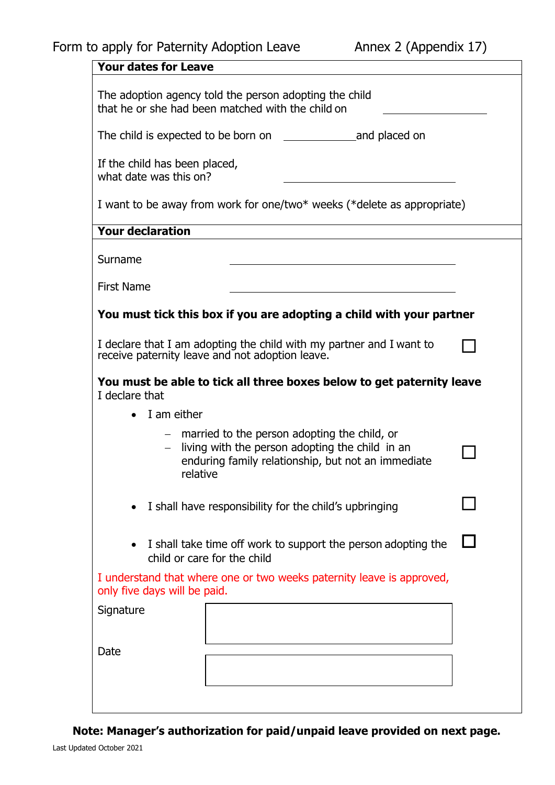| <b>Your dates for Leave</b>                                                                                                                                                |                                                                                                             |  |
|----------------------------------------------------------------------------------------------------------------------------------------------------------------------------|-------------------------------------------------------------------------------------------------------------|--|
|                                                                                                                                                                            | The adoption agency told the person adopting the child<br>that he or she had been matched with the child on |  |
|                                                                                                                                                                            |                                                                                                             |  |
| If the child has been placed,<br>what date was this on?                                                                                                                    |                                                                                                             |  |
|                                                                                                                                                                            | I want to be away from work for one/two* weeks (*delete as appropriate)                                     |  |
| <b>Your declaration</b>                                                                                                                                                    |                                                                                                             |  |
| Surname                                                                                                                                                                    |                                                                                                             |  |
| <b>First Name</b>                                                                                                                                                          |                                                                                                             |  |
|                                                                                                                                                                            | You must tick this box if you are adopting a child with your partner                                        |  |
| I declare that I am adopting the child with my partner and I want to<br>receive paternity leave and not adoption leave.                                                    |                                                                                                             |  |
| I declare that                                                                                                                                                             | You must be able to tick all three boxes below to get paternity leave                                       |  |
| $\bullet$ I am either                                                                                                                                                      |                                                                                                             |  |
| - married to the person adopting the child, or<br>living with the person adopting the child in an<br>$-$<br>enduring family relationship, but not an immediate<br>relative |                                                                                                             |  |
| I shall have responsibility for the child's upbringing                                                                                                                     |                                                                                                             |  |
| I shall take time off work to support the person adopting the<br>child or care for the child                                                                               |                                                                                                             |  |
| only five days will be paid.                                                                                                                                               | I understand that where one or two weeks paternity leave is approved,                                       |  |
| Signature                                                                                                                                                                  |                                                                                                             |  |
| Date                                                                                                                                                                       |                                                                                                             |  |
|                                                                                                                                                                            |                                                                                                             |  |
|                                                                                                                                                                            |                                                                                                             |  |

**Note: Manager's authorization for paid/unpaid leave provided on next page.**